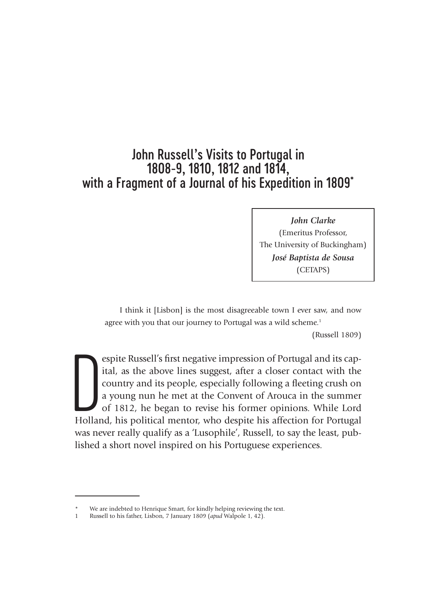# John Russell's Visits to Portugal in 1808-9, 1810, 1812 and 1814, with a Fragment of a Journal of his Expedition in 1809\*

*John Clarke*  (Emeritus Professor, The University of Buckingham) *José Baptista de Sousa*  (CETAPS)

I think it [Lisbon] is the most disagreeable town I ever saw, and now agree with you that our journey to Portugal was a wild scheme.<sup>1</sup> (Russell 1809)

Experience Russell's first negative impression of Portugal and its capital, as the above lines suggest, after a closer contact with the country and its people, especially following a fleeting crush on a young nun he met at espite Russell's first negative impression of Portugal and its capital, as the above lines suggest, after a closer contact with the country and its people, especially following a fleeting crush on a young nun he met at the Convent of Arouca in the summer of 1812, he began to revise his former opinions. While Lord was never really qualify as a 'Lusophile', Russell, to say the least, published a short novel inspired on his Portuguese experiences.

We are indebted to Henrique Smart, for kindly helping reviewing the text.

<sup>1</sup> Russell to his father, Lisbon, 7 January 1809 (*apud* Walpole 1, 42).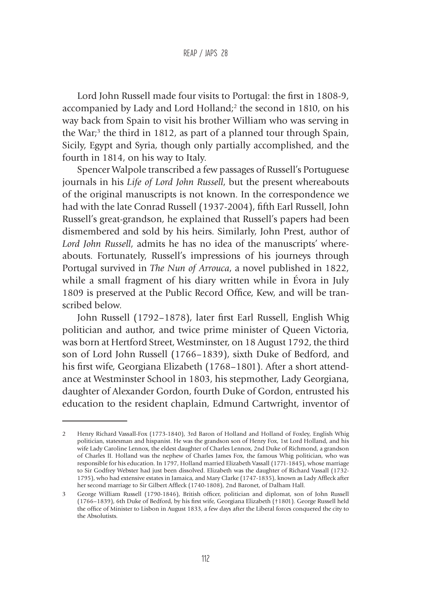Lord John Russell made four visits to Portugal: the first in 1808-9, accompanied by Lady and Lord Holland;<sup>2</sup> the second in 1810, on his way back from Spain to visit his brother William who was serving in the War;<sup>3</sup> the third in 1812, as part of a planned tour through Spain, Sicily, Egypt and Syria, though only partially accomplished, and the fourth in 1814, on his way to Italy.

Spencer Walpole transcribed a few passages of Russell's Portuguese journals in his *Life of Lord John Russell*, but the present whereabouts of the original manuscripts is not known. In the correspondence we had with the late Conrad Russell (1937-2004), fifth Earl Russell, John Russell's great-grandson, he explained that Russell's papers had been dismembered and sold by his heirs. Similarly, John Prest, author of *Lord John Russell*, admits he has no idea of the manuscripts' whereabouts. Fortunately, Russell's impressions of his journeys through Portugal survived in *The Nun of Arrouca*, a novel published in 1822, while a small fragment of his diary written while in Évora in July 1809 is preserved at the Public Record Office, Kew, and will be transcribed below.

John Russell (1792–1878), later first Earl Russell, English Whig politician and author, and twice prime minister of Queen Victoria, was born at Hertford Street, Westminster, on 18 August 1792, the third son of Lord John Russell (1766–1839), sixth Duke of Bedford, and his first wife, Georgiana Elizabeth (1768–1801). After a short attendance at Westminster School in 1803, his stepmother, Lady Georgiana, daughter of Alexander Gordon, fourth Duke of Gordon, entrusted his education to the resident chaplain, Edmund Cartwright, inventor of

<sup>2</sup> Henry Richard Vassall-Fox (1773-1840), 3rd Baron of Holland and Holland of Foxley, English Whig politician, statesman and hispanist. He was the grandson son of Henry Fox, 1st Lord Holland, and his wife Lady Caroline Lennox, the eldest daughter of Charles Lennox, 2nd Duke of Richmond, a grandson of Charles II. Holland was the nephew of Charles James Fox, the famous Whig politician, who was responsible for his education. In 1797, Holland married Elizabeth Vassall (1771-1845), whose marriage to Sir Godfrey Webster had just been dissolved. Elizabeth was the daughter of Richard Vassall (1732- 1795), who had extensive estates in Jamaica, and Mary Clarke (1747-1835), known as Lady Affleck after her second marriage to Sir Gilbert Affleck (1740-1808), 2nd Baronet, of Dalham Hall.

<sup>3</sup> George William Russell (1790-1846), British officer, politician and diplomat, son of John Russell (1766–1839), 6th Duke of Bedford, by his first wife, Georgiana Elizabeth (†1801). George Russell held the office of Minister to Lisbon in August 1833, a few days after the Liberal forces conquered the city to the Absolutists.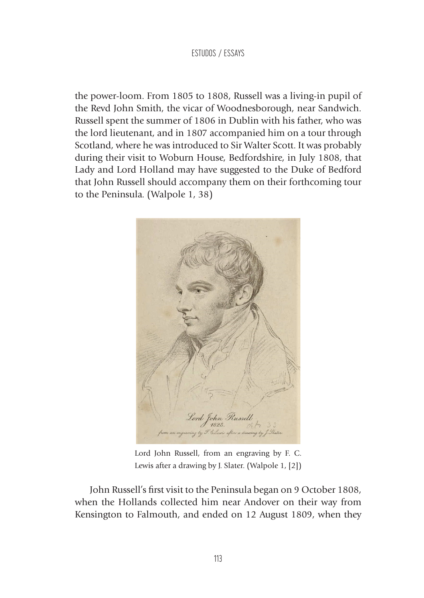the power-loom. From 1805 to 1808, Russell was a living-in pupil of the Revd John Smith, the vicar of Woodnesborough, near Sandwich. Russell spent the summer of 1806 in Dublin with his father, who was the lord lieutenant, and in 1807 accompanied him on a tour through Scotland, where he was introduced to Sir Walter Scott. It was probably during their visit to Woburn House, Bedfordshire, in July 1808, that Lady and Lord Holland may have suggested to the Duke of Bedford that John Russell should accompany them on their forthcoming tour to the Peninsula. (Walpole 1, 38)



Lord John Russell, from an engraving by F. C. Lewis after a drawing by J. Slater. (Walpole 1, [2])

John Russell's first visit to the Peninsula began on 9 October 1808, when the Hollands collected him near Andover on their way from Kensington to Falmouth, and ended on 12 August 1809, when they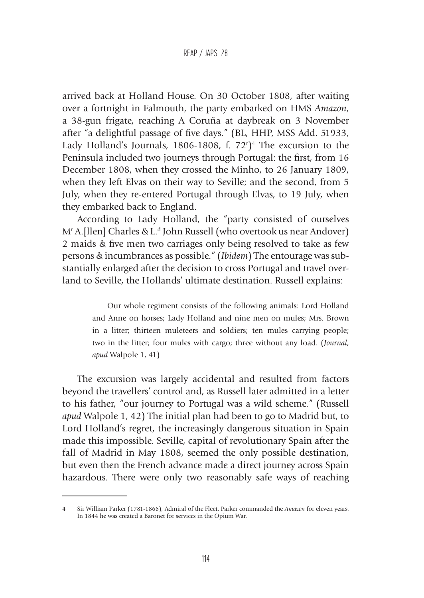#### REAP / JAPS 28

arrived back at Holland House. On 30 October 1808, after waiting over a fortnight in Falmouth, the party embarked on HMS *Amazon*, a 38-gun frigate, reaching A Coruña at daybreak on 3 November after "a delightful passage of five days." (BL, HHP, MSS Add. 51933, Lady Holland's Journals, 1806-1808, f.  $72<sup>r</sup>$ <sup>1</sup> The excursion to the Peninsula included two journeys through Portugal: the first, from 16 December 1808, when they crossed the Minho, to 26 January 1809, when they left Elvas on their way to Seville; and the second, from 5 July, when they re-entered Portugal through Elvas, to 19 July, when they embarked back to England.

According to Lady Holland, the "party consisted of ourselves M<sup>r</sup> A.[llen] Charles & L.<sup>d</sup> John Russell (who overtook us near Andover) 2 maids & five men two carriages only being resolved to take as few persons & incumbrances as possible." (*Ibidem*) The entourage was substantially enlarged after the decision to cross Portugal and travel overland to Seville, the Hollands' ultimate destination. Russell explains:

> Our whole regiment consists of the following animals: Lord Holland and Anne on horses; Lady Holland and nine men on mules; Mrs. Brown in a litter; thirteen muleteers and soldiers; ten mules carrying people; two in the litter; four mules with cargo; three without any load. (*Journal*, *apud* Walpole 1, 41)

The excursion was largely accidental and resulted from factors beyond the travellers' control and, as Russell later admitted in a letter to his father, "our journey to Portugal was a wild scheme." (Russell *apud* Walpole 1, 42) The initial plan had been to go to Madrid but, to Lord Holland's regret, the increasingly dangerous situation in Spain made this impossible. Seville, capital of revolutionary Spain after the fall of Madrid in May 1808, seemed the only possible destination, but even then the French advance made a direct journey across Spain hazardous. There were only two reasonably safe ways of reaching

<sup>4</sup> Sir William Parker (1781-1866), Admiral of the Fleet. Parker commanded the *Amazon* for eleven years. In 1844 he was created a Baronet for services in the Opium War.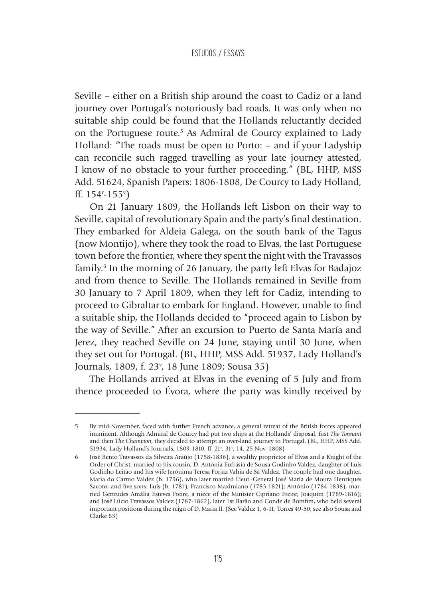Seville – either on a British ship around the coast to Cadiz or a land journey over Portugal's notoriously bad roads. It was only when no suitable ship could be found that the Hollands reluctantly decided on the Portuguese route.<sup>5</sup> As Admiral de Courcy explained to Lady Holland: "The roads must be open to Porto: – and if your Ladyship can reconcile such ragged travelling as your late journey attested, I know of no obstacle to your further proceeding." (BL, HHP, MSS Add. 51624, Spanish Papers: 1806-1808, De Courcy to Lady Holland, ff.  $154 - 155$ <sup>v</sup>)

On 21 January 1809, the Hollands left Lisbon on their way to Seville, capital of revolutionary Spain and the party's final destination. They embarked for Aldeia Galega, on the south bank of the Tagus (now Montijo), where they took the road to Elvas, the last Portuguese town before the frontier, where they spent the night with the Travassos family.6 In the morning of 26 January, the party left Elvas for Badajoz and from thence to Seville. The Hollands remained in Seville from 30 January to 7 April 1809, when they left for Cadiz, intending to proceed to Gibraltar to embark for England. However, unable to find a suitable ship, the Hollands decided to "proceed again to Lisbon by the way of Seville." After an excursion to Puerto de Santa María and Jerez, they reached Seville on 24 June, staying until 30 June, when they set out for Portugal. (BL, HHP, MSS Add. 51937, Lady Holland's Journals, 1809, f. 23<sup>v</sup>, 18 June 1809; Sousa 35)

The Hollands arrived at Elvas in the evening of 5 July and from thence proceeded to Évora, where the party was kindly received by

<sup>5</sup> By mid-November, faced with further French advance, a general retreat of the British forces appeared imminent. Although Admiral de Courcy had put two ships at the Hollands' disposal, first *The Tonnant* and then *The Champion*, they decided to attempt an over-land journey to Portugal. (BL, HHP, MSS Add. 51934, Lady Holland's Journals, 1809-1810, ff. 21<sup>v</sup>, 31<sup>v</sup>, 14, 25 Nov. 1808)

<sup>6</sup> José Bento Travassos da Silveira Araújo (1758-1836), a wealthy proprietor of Elvas and a Knight of the Order of Christ, married to his cousin, D. Antónia Eufrásia de Sousa Godinho Valdez, daughter of Luís Godinho Leitão and his wife Jerónima Teresa Forjaz Vahia de Sá Valdez. The couple had one daughter, Maria do Carmo Valdez (b. 1796), who later married Lieut.-General José Maria de Moura Henriques Sacoto; and five sons: Luís (b. 1781); Francisco Maximiano (1783-1821); António (1784-1838), married Gertrudes Amália Esteves Freire, a niece of the Minister Cipriano Freire; Joaquim (1789-1816); and José Lúcio Travassos Valdez (1787-1862), later 1st Barão and Conde de Bomfim, who held several important positions during the reign of D. Maria II. (See Valdez 1, 6-11; Torres 49-50; see also Sousa and Clarke 83)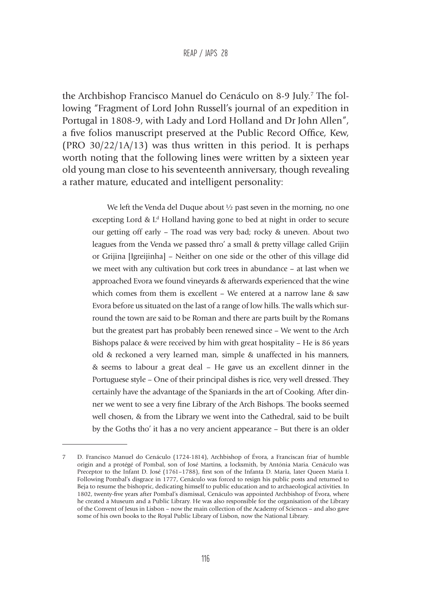#### REAP / JAPS 28

the Archbishop Francisco Manuel do Cenáculo on 8-9 July.<sup>7</sup> The following "Fragment of Lord John Russell's journal of an expedition in Portugal in 1808-9, with Lady and Lord Holland and Dr John Allen", a five folios manuscript preserved at the Public Record Office, Kew, (PRO  $30/22/1A/13$ ) was thus written in this period. It is perhaps worth noting that the following lines were written by a sixteen year old young man close to his seventeenth anniversary, though revealing a rather mature, educated and intelligent personality:

> We left the Venda del Duque about <sup>1/2</sup> past seven in the morning, no one excepting Lord &  $L<sup>d</sup>$  Holland having gone to bed at night in order to secure our getting off early – The road was very bad; rocky & uneven. About two leagues from the Venda we passed thro' a small & pretty village called Grijin or Grijina [Igreijinha] – Neither on one side or the other of this village did we meet with any cultivation but cork trees in abundance – at last when we approached Evora we found vineyards & afterwards experienced that the wine which comes from them is excellent – We entered at a narrow lane & saw Evora before us situated on the last of a range of low hills. The walls which surround the town are said to be Roman and there are parts built by the Romans but the greatest part has probably been renewed since – We went to the Arch Bishops palace & were received by him with great hospitality – He is 86 years old & reckoned a very learned man, simple & unaffected in his manners, & seems to labour a great deal – He gave us an excellent dinner in the Portuguese style – One of their principal dishes is rice, very well dressed. They certainly have the advantage of the Spaniards in the art of Cooking. After dinner we went to see a very fine Library of the Arch Bishops. The books seemed well chosen, & from the Library we went into the Cathedral, said to be built by the Goths tho' it has a no very ancient appearance – But there is an older

<sup>7</sup> D. Francisco Manuel do Cenáculo (1724-1814), Archbishop of Évora, a Franciscan friar of humble origin and a protégé of Pombal, son of José Martins, a locksmith, by Antónia Maria. Cenáculo was Preceptor to the Infant D. José (1761–1788), first son of the Infanta D. Maria, later Queen Maria I. Following Pombal's disgrace in 1777, Cenáculo was forced to resign his public posts and returned to Beja to resume the bishopric, dedicating himself to public education and to archaeological activities. In 1802, twenty-five years after Pombal's dismissal, Cenáculo was appointed Archbishop of Évora, where he created a Museum and a Public Library. He was also responsible for the organisation of the Library of the Convent of Jesus in Lisbon – now the main collection of the Academy of Sciences – and also gave some of his own books to the Royal Public Library of Lisbon, now the National Library.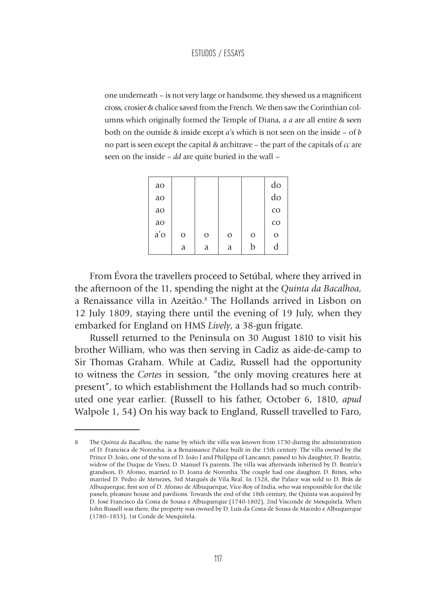one underneath – is not very large or handsome, they shewed us a magnificent cross, crosier & chalice saved from the French. We then saw the Corinthian columns which originally formed the Temple of Diana, a *a* are all entire & seen both on the outside & inside except *a'*s which is not seen on the inside – of *b* no part is seen except the capital & architrave – the part of the capitals of *cc* are seen on the inside – *dd* are quite buried in the wall –

| ao     |             |             |               |               | do      |
|--------|-------------|-------------|---------------|---------------|---------|
| ao     |             |             |               |               | do      |
| ao     |             |             |               |               | CO      |
| ao     |             |             |               |               | CO      |
| $a'$ o | $\mathbf O$ | $\mathbf O$ | $\mathcal{O}$ | $\mathcal{O}$ | $\circ$ |
|        | a           | a           | a             | b             | d       |

From Évora the travellers proceed to Setúbal, where they arrived in the afternoon of the 11, spending the night at the *Quinta da Bacalhoa*, a Renaissance villa in Azeitão.8 The Hollands arrived in Lisbon on 12 July 1809, staying there until the evening of 19 July, when they embarked for England on HMS *Lively*, a 38-gun frigate.

Russell returned to the Peninsula on 30 August 1810 to visit his brother William, who was then serving in Cadiz as aide-de-camp to Sir Thomas Graham. While at Cadiz, Russell had the opportunity to witness the *Cortes* in session, "the only moving creatures here at present", to which establishment the Hollands had so much contributed one year earlier. (Russell to his father, October 6, 1810, *apud* Walpole 1, 54) On his way back to England, Russell travelled to Faro,

<sup>8</sup> The *Quinta da Bacalhoa*, the name by which the villa was known from 1730 during the administration of D. Francisca de Noronha, is a Renaissance Palace built in the 15th century. The villa owned by the Prince D. João, one of the sons of D. João I and Philippa of Lancaster, passed to his daughter, D. Beatriz, widow of the Duque de Viseu, D. Manuel I's parents. The villa was afterwards inherited by D. Beatriz's grandson, D. Afonso, married to D. Joana de Noronha. The couple had one daughter, D. Brites, who married D. Pedro de Menezes, 3rd Marquês de Vila Real. In 1528, the Palace was sold to D. Brás de Albuquerque, first son of D. Afonso de Albuquerque, Vice-Roy of India, who was responsible for the tile panels, pleasure house and pavilions. Towards the end of the 18th century, the Quinta was acquired by D. José Francisco da Costa de Sousa e Albuquerque (1740-1802), 2nd Visconde de Mesquitela. When John Russell was there, the property was owned by D. Luís da Costa de Sousa de Macedo e Albuquerque (1780–1853), 1st Conde de Mesquitela.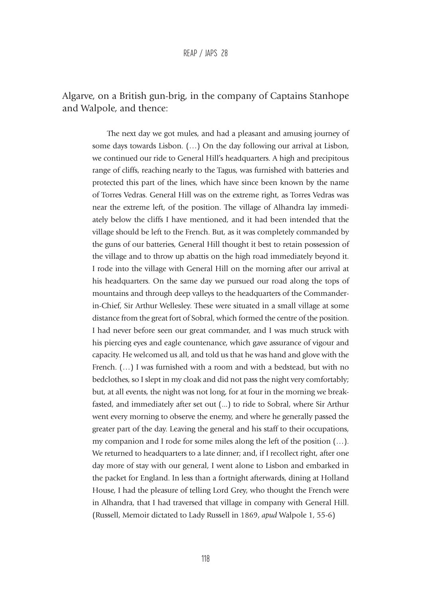### Algarve, on a British gun-brig, in the company of Captains Stanhope and Walpole, and thence:

The next day we got mules, and had a pleasant and amusing journey of some days towards Lisbon. (…) On the day following our arrival at Lisbon, we continued our ride to General Hill's headquarters. A high and precipitous range of cliffs, reaching nearly to the Tagus, was furnished with batteries and protected this part of the lines, which have since been known by the name of Torres Vedras. General Hill was on the extreme right, as Torres Vedras was near the extreme left, of the position. The village of Alhandra lay immediately below the cliffs I have mentioned, and it had been intended that the village should be left to the French. But, as it was completely commanded by the guns of our batteries, General Hill thought it best to retain possession of the village and to throw up abattis on the high road immediately beyond it. I rode into the village with General Hill on the morning after our arrival at his headquarters. On the same day we pursued our road along the tops of mountains and through deep valleys to the headquarters of the Commanderin-Chief, Sir Arthur Wellesley. These were situated in a small village at some distance from the great fort of Sobral, which formed the centre of the position. I had never before seen our great commander, and I was much struck with his piercing eyes and eagle countenance, which gave assurance of vigour and capacity. He welcomed us all, and told us that he was hand and glove with the French. (...) I was furnished with a room and with a bedstead, but with no bedclothes, so I slept in my cloak and did not pass the night very comfortably; but, at all events, the night was not long, for at four in the morning we breakfasted, and immediately after set out (...) to ride to Sobral, where Sir Arthur went every morning to observe the enemy, and where he generally passed the greater part of the day. Leaving the general and his staff to their occupations, my companion and I rode for some miles along the left of the position (…). We returned to headquarters to a late dinner; and, if I recollect right, after one day more of stay with our general, I went alone to Lisbon and embarked in the packet for England. In less than a fortnight afterwards, dining at Holland House, I had the pleasure of telling Lord Grey, who thought the French were in Alhandra, that I had traversed that village in company with General Hill. (Russell, Memoir dictated to Lady Russell in 1869, *apud* Walpole 1, 55-6)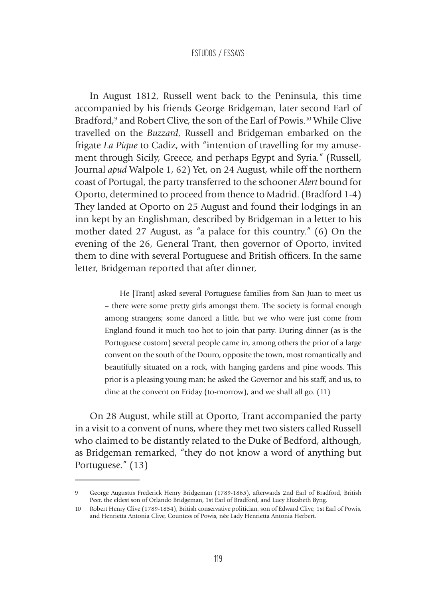In August 1812, Russell went back to the Peninsula, this time accompanied by his friends George Bridgeman, later second Earl of Bradford,<sup>9</sup> and Robert Clive, the son of the Earl of Powis.<sup>10</sup> While Clive travelled on the *Buzzard*, Russell and Bridgeman embarked on the frigate *La Pique* to Cadiz, with "intention of travelling for my amusement through Sicily, Greece, and perhaps Egypt and Syria." (Russell, Journal *apud* Walpole 1, 62) Yet, on 24 August, while off the northern coast of Portugal, the party transferred to the schooner *Alert* bound for Oporto, determined to proceed from thence to Madrid. (Bradford 1-4) They landed at Oporto on 25 August and found their lodgings in an inn kept by an Englishman, described by Bridgeman in a letter to his mother dated 27 August, as "a palace for this country." (6) On the evening of the 26, General Trant, then governor of Oporto, invited them to dine with several Portuguese and British officers. In the same letter, Bridgeman reported that after dinner,

> He [Trant] asked several Portuguese families from San Juan to meet us – there were some pretty girls amongst them. The society is formal enough among strangers; some danced a little, but we who were just come from England found it much too hot to join that party. During dinner (as is the Portuguese custom) several people came in, among others the prior of a large convent on the south of the Douro, opposite the town, most romantically and beautifully situated on a rock, with hanging gardens and pine woods. This prior is a pleasing young man; he asked the Governor and his staff, and us, to dine at the convent on Friday (to-morrow), and we shall all go. (11)

On 28 August, while still at Oporto, Trant accompanied the party in a visit to a convent of nuns, where they met two sisters called Russell who claimed to be distantly related to the Duke of Bedford, although, as Bridgeman remarked, "they do not know a word of anything but Portuguese." (13)

<sup>9</sup> George Augustus Frederick Henry Bridgeman (1789-1865), afterwards 2nd Earl of Bradford, British Peer, the eldest son of Orlando Bridgeman, 1st Earl of Bradford, and Lucy Elizabeth Byng.

<sup>10</sup> Robert Henry Clive (1789-1854), British conservative politician, son of Edward Clive, 1st Earl of Powis, and Henrietta Antonia Clive, Countess of Powis, née Lady Henrietta Antonia Herbert.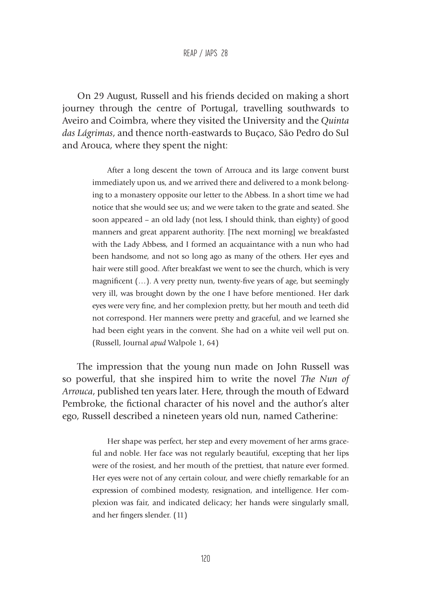On 29 August, Russell and his friends decided on making a short journey through the centre of Portugal, travelling southwards to Aveiro and Coimbra, where they visited the University and the *Quinta das Lágrimas*, and thence north-eastwards to Buçaco, São Pedro do Sul and Arouca, where they spent the night:

> After a long descent the town of Arrouca and its large convent burst immediately upon us, and we arrived there and delivered to a monk belonging to a monastery opposite our letter to the Abbess. In a short time we had notice that she would see us; and we were taken to the grate and seated. She soon appeared – an old lady (not less, I should think, than eighty) of good manners and great apparent authority. [The next morning] we breakfasted with the Lady Abbess, and I formed an acquaintance with a nun who had been handsome, and not so long ago as many of the others. Her eyes and hair were still good. After breakfast we went to see the church, which is very magnificent (…). A very pretty nun, twenty-five years of age, but seemingly very ill, was brought down by the one I have before mentioned. Her dark eyes were very fine, and her complexion pretty, but her mouth and teeth did not correspond. Her manners were pretty and graceful, and we learned she had been eight years in the convent. She had on a white veil well put on. (Russell, Journal *apud* Walpole 1, 64)

The impression that the young nun made on John Russell was so powerful, that she inspired him to write the novel *The Nun of Arrouca*, published ten years later. Here, through the mouth of Edward Pembroke, the fictional character of his novel and the author's alter ego, Russell described a nineteen years old nun, named Catherine:

> Her shape was perfect, her step and every movement of her arms graceful and noble. Her face was not regularly beautiful, excepting that her lips were of the rosiest, and her mouth of the prettiest, that nature ever formed. Her eyes were not of any certain colour, and were chiefly remarkable for an expression of combined modesty, resignation, and intelligence. Her complexion was fair, and indicated delicacy; her hands were singularly small, and her fingers slender. (11)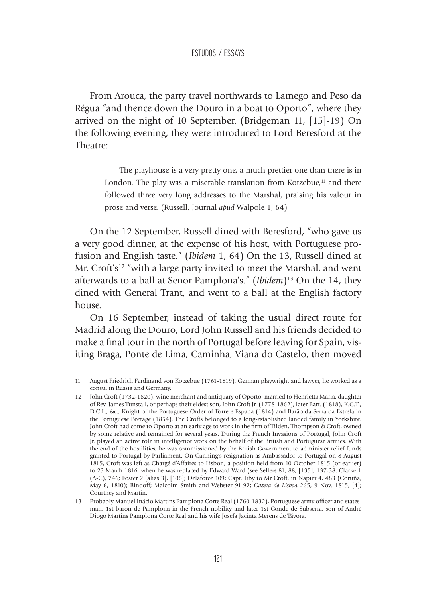From Arouca, the party travel northwards to Lamego and Peso da Régua "and thence down the Douro in a boat to Oporto", where they arrived on the night of 10 September. (Bridgeman 11, [15]-19) On the following evening, they were introduced to Lord Beresford at the Theatre:

> The playhouse is a very pretty one, a much prettier one than there is in London. The play was a miserable translation from Kotzebue, $<sup>11</sup>$  and there</sup> followed three very long addresses to the Marshal, praising his valour in prose and verse. (Russell, Journal *apud* Walpole 1, 64)

On the 12 September, Russell dined with Beresford, "who gave us a very good dinner, at the expense of his host, with Portuguese profusion and English taste." (*Ibidem* 1, 64) On the 13, Russell dined at Mr. Croft's<sup>12</sup> "with a large party invited to meet the Marshal, and went afterwards to a ball at Senor Pamplona's." (*Ibidem*)<sup>13</sup> On the 14, they dined with General Trant, and went to a ball at the English factory house.

On 16 September, instead of taking the usual direct route for Madrid along the Douro, Lord John Russell and his friends decided to make a final tour in the north of Portugal before leaving for Spain, visiting Braga, Ponte de Lima, Caminha, Viana do Castelo, then moved

<sup>11</sup> August Friedrich Ferdinand von Kotzebue (1761-1819), German playwright and lawyer, he worked as a consul in Russia and Germany.

<sup>12</sup> John Croft (1732-1820), wine merchant and antiquary of Oporto, married to Henrietta Maria, daughter of Rev. James Tunstall, or perhaps their eldest son, John Croft Jr. (1778-1862), later Bart. (1818), K.C.T., D.C.L., &c., Knight of the Portuguese Order of Torre e Espada (1814) and Barão da Serra da Estrela in the Portuguese Peerage (1854). The Crofts belonged to a long-established landed family in Yorkshire. John Croft had come to Oporto at an early age to work in the firm of Tilden, Thompson & Croft, owned by some relative and remained for several years. During the French Invasions of Portugal, John Croft Jr. played an active role in intelligence work on the behalf of the British and Portuguese armies. With the end of the hostilities, he was commissioned by the British Government to administer relief funds granted to Portugal by Parliament. On Canning's resignation as Ambassador to Portugal on 8 August 1815, Croft was left as Chargé d'Affaires to Lisbon, a position held from 10 October 1815 (or earlier) to 23 March 1816, when he was replaced by Edward Ward (see Sellers 81, 88, [135]; 137-38; Clarke 1 (A-C), 746; Foster 2 [alias 3], [106]; Delaforce 109; Capt. Irby to Mr Croft, in Napier 4, 483 (Coruña, May 6, 1810); Bindoff; Malcolm Smith and Webster 91-92; *Gazeta de Lisboa* 265, 9 Nov. 1815, [4]; Courtney and Martin.

<sup>13</sup> Probably Manuel Inácio Martins Pamplona Corte Real (1760-1832), Portuguese army officer and statesman, 1st baron de Pamplona in the French nobility and later 1st Conde de Subserra, son of André Diogo Martins Pamplona Corte Real and his wife Josefa Jacinta Merens de Távora.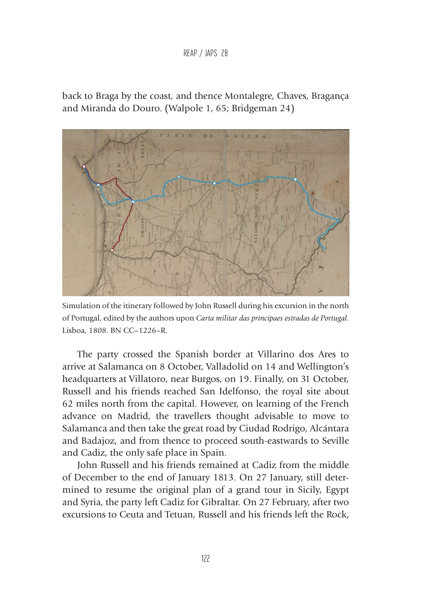#### REAP / JAPS 28

back to Braga by the coast, and thence Montalegre, Chaves, Bragança and Miranda do Douro. (Walpole 1, 65; Bridgeman 24)



Simulation of the itinerary followed by John Russell during his excursion in the north of Portugal, edited by the authors upon *Carta militar das principaes estradas de Portugal*. Lisboa, 1808. BN CC–1226–R.

The party crossed the Spanish border at Villarino dos Ares to arrive at Salamanca on 8 October, Valladolid on 14 and Wellington's headquarters at Villatoro, near Burgos, on 19. Finally, on 31 October, Russell and his friends reached San Idelfonso, the royal site about 62 miles north from the capital. However, on learning of the French advance on Madrid, the travellers thought advisable to move to Salamanca and then take the great road by Ciudad Rodrigo, Alcántara and Badajoz, and from thence to proceed south-eastwards to Seville and Cadiz, the only safe place in Spain.

John Russell and his friends remained at Cadiz from the middle of December to the end of January 1813. On 27 January, still determined to resume the original plan of a grand tour in Sicily, Egypt and Syria, the party left Cadiz for Gibraltar. On 27 February, after two excursions to Ceuta and Tetuan, Russell and his friends left the Rock,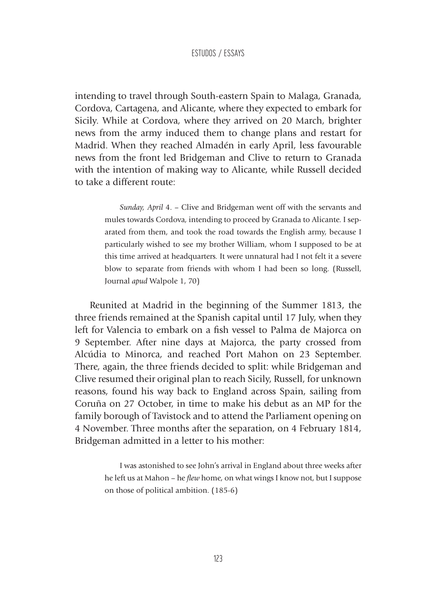intending to travel through South-eastern Spain to Malaga, Granada, Cordova, Cartagena, and Alicante, where they expected to embark for Sicily. While at Cordova, where they arrived on 20 March, brighter news from the army induced them to change plans and restart for Madrid. When they reached Almadén in early April, less favourable news from the front led Bridgeman and Clive to return to Granada with the intention of making way to Alicante, while Russell decided to take a different route:

> *Sunday, April* 4. – Clive and Bridgeman went off with the servants and mules towards Cordova, intending to proceed by Granada to Alicante. I separated from them, and took the road towards the English army, because I particularly wished to see my brother William, whom I supposed to be at this time arrived at headquarters. It were unnatural had I not felt it a severe blow to separate from friends with whom I had been so long. (Russell, Journal *apud* Walpole 1, 70)

Reunited at Madrid in the beginning of the Summer 1813, the three friends remained at the Spanish capital until 17 July, when they left for Valencia to embark on a fish vessel to Palma de Majorca on 9 September. After nine days at Majorca, the party crossed from Alcúdia to Minorca, and reached Port Mahon on 23 September. There, again, the three friends decided to split: while Bridgeman and Clive resumed their original plan to reach Sicily, Russell, for unknown reasons, found his way back to England across Spain, sailing from Coruña on 27 October, in time to make his debut as an MP for the family borough of Tavistock and to attend the Parliament opening on 4 November. Three months after the separation, on 4 February 1814, Bridgeman admitted in a letter to his mother:

> I was astonished to see John's arrival in England about three weeks after he left us at Mahon – he *flew* home, on what wings I know not, but I suppose on those of political ambition. (185-6)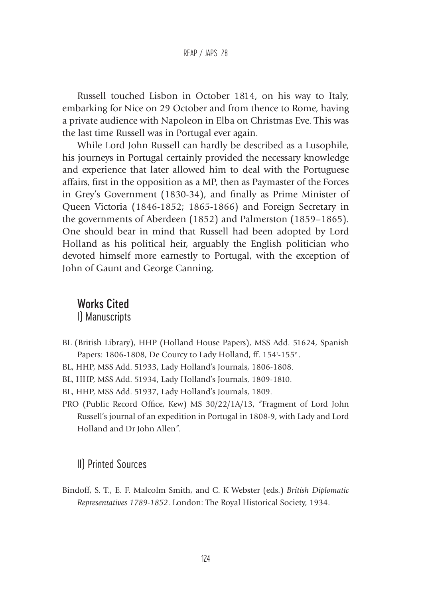Russell touched Lisbon in October 1814, on his way to Italy, embarking for Nice on 29 October and from thence to Rome, having a private audience with Napoleon in Elba on Christmas Eve. This was the last time Russell was in Portugal ever again.

While Lord John Russell can hardly be described as a Lusophile, his journeys in Portugal certainly provided the necessary knowledge and experience that later allowed him to deal with the Portuguese affairs, first in the opposition as a MP, then as Paymaster of the Forces in Grey's Government (1830-34), and finally as Prime Minister of Queen Victoria (1846-1852; 1865-1866) and Foreign Secretary in the governments of Aberdeen (1852) and Palmerston (1859–1865). One should bear in mind that Russell had been adopted by Lord Holland as his political heir, arguably the English politician who devoted himself more earnestly to Portugal, with the exception of John of Gaunt and George Canning.

# Works Cited

I) Manuscripts

- BL (British Library), HHP (Holland House Papers), MSS Add. 51624, Spanish Papers: 1806-1808, De Courcy to Lady Holland, ff. 154<sup>r</sup>-155<sup>v</sup>.
- BL, HHP, MSS Add. 51933, Lady Holland's Journals, 1806-1808.
- BL, HHP, MSS Add. 51934, Lady Holland's Journals, 1809-1810.
- BL, HHP, MSS Add. 51937, Lady Holland's Journals, 1809.
- PRO (Public Record Office, Kew) MS 30/22/1A/13, "Fragment of Lord John Russell's journal of an expedition in Portugal in 1808-9, with Lady and Lord Holland and Dr John Allen".

### II) Printed Sources

Bindoff, S. T., E. F. Malcolm Smith, and C. K Webster (eds.) *British Diplomatic Representatives 1789-1852*. London: The Royal Historical Society, 1934.